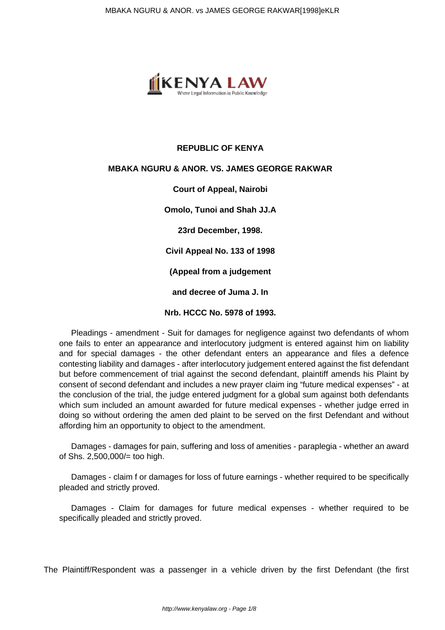

## **REPUBLIC OF KENYA**

## **MBAKA NGURU & ANOR. VS. JAMES GEORGE RAKWAR**

**Court of Appeal, Nairobi**

**Omolo, Tunoi and Shah JJ.A**

**23rd December, 1998.**

**Civil Appeal No. 133 of 1998**

**(Appeal from a judgement**

**and decree of Juma J. In**

**Nrb. HCCC No. 5978 of 1993.**

Pleadings - amendment - Suit for damages for negligence against two defendants of whom one fails to enter an appearance and interlocutory judgment is entered against him on liability and for special damages - the other defendant enters an appearance and files a defence contesting liability and damages - after interlocutory judgement entered against the fist defendant but before commencement of trial against the second defendant, plaintiff amends his Plaint by consent of second defendant and includes a new prayer claim ing "future medical expenses" - at the conclusion of the trial, the judge entered judgment for a global sum against both defendants which sum included an amount awarded for future medical expenses - whether judge erred in doing so without ordering the amen ded plaint to be served on the first Defendant and without affording him an opportunity to object to the amendment.

Damages - damages for pain, suffering and loss of amenities - paraplegia - whether an award of Shs. 2,500,000/= too high.

Damages - claim f or damages for loss of future earnings - whether required to be specifically pleaded and strictly proved.

Damages - Claim for damages for future medical expenses - whether required to be specifically pleaded and strictly proved.

The Plaintiff/Respondent was a passenger in a vehicle driven by the first Defendant (the first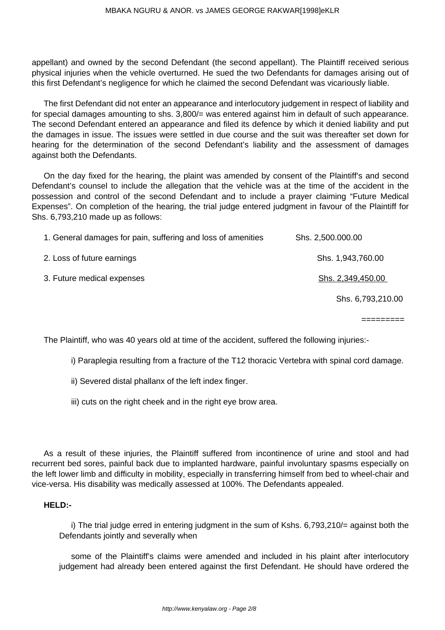appellant) and owned by the second Defendant (the second appellant). The Plaintiff received serious physical injuries when the vehicle overturned. He sued the two Defendants for damages arising out of this first Defendant's negligence for which he claimed the second Defendant was vicariously liable.

The first Defendant did not enter an appearance and interlocutory judgement in respect of liability and for special damages amounting to shs. 3,800/= was entered against him in default of such appearance. The second Defendant entered an appearance and filed its defence by which it denied liability and put the damages in issue. The issues were settled in due course and the suit was thereafter set down for hearing for the determination of the second Defendant's liability and the assessment of damages against both the Defendants.

On the day fixed for the hearing, the plaint was amended by consent of the Plaintiff's and second Defendant's counsel to include the allegation that the vehicle was at the time of the accident in the possession and control of the second Defendant and to include a prayer claiming "Future Medical Expenses". On completion of the hearing, the trial judge entered judgment in favour of the Plaintiff for Shs. 6,793,210 made up as follows:

| 1. General damages for pain, suffering and loss of amenities | Shs. 2,500.000.00 |
|--------------------------------------------------------------|-------------------|
| 2. Loss of future earnings                                   | Shs. 1,943,760.00 |
| 3. Future medical expenses                                   | Shs. 2,349,450.00 |
|                                                              | Shs. 6,793,210.00 |

The Plaintiff, who was 40 years old at time of the accident, suffered the following injuries:-

i) Paraplegia resulting from a fracture of the T12 thoracic Vertebra with spinal cord damage.

=========

- ii) Severed distal phallanx of the left index finger.
- iii) cuts on the right cheek and in the right eye brow area.

As a result of these injuries, the Plaintiff suffered from incontinence of urine and stool and had recurrent bed sores, painful back due to implanted hardware, painful involuntary spasms especially on the left lower limb and difficulty in mobility, especially in transferring himself from bed to wheel-chair and vice-versa. His disability was medically assessed at 100%. The Defendants appealed.

## **HELD:-**

i) The trial judge erred in entering judgment in the sum of Kshs. 6,793,210/= against both the Defendants jointly and severally when

some of the Plaintiff's claims were amended and included in his plaint after interlocutory judgement had already been entered against the first Defendant. He should have ordered the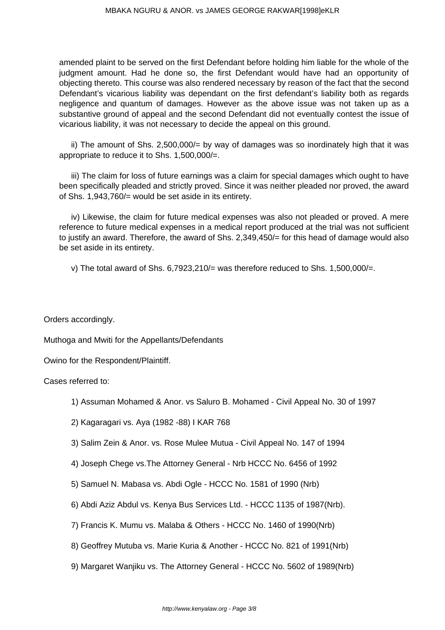amended plaint to be served on the first Defendant before holding him liable for the whole of the judgment amount. Had he done so, the first Defendant would have had an opportunity of objecting thereto. This course was also rendered necessary by reason of the fact that the second Defendant's vicarious liability was dependant on the first defendant's liability both as regards negligence and quantum of damages. However as the above issue was not taken up as a substantive ground of appeal and the second Defendant did not eventually contest the issue of vicarious liability, it was not necessary to decide the appeal on this ground.

ii) The amount of Shs. 2,500,000/= by way of damages was so inordinately high that it was appropriate to reduce it to Shs. 1,500,000/=.

iii) The claim for loss of future earnings was a claim for special damages which ought to have been specifically pleaded and strictly proved. Since it was neither pleaded nor proved, the award of Shs. 1,943,760/= would be set aside in its entirety.

iv) Likewise, the claim for future medical expenses was also not pleaded or proved. A mere reference to future medical expenses in a medical report produced at the trial was not sufficient to justify an award. Therefore, the award of Shs. 2,349,450/= for this head of damage would also be set aside in its entirety.

v) The total award of Shs.  $6.7923.210/=\text{was therefore reduced to Shs. }1.500.000/=\text{.}$ 

Orders accordingly.

Muthoga and Mwiti for the Appellants/Defendants

Owino for the Respondent/Plaintiff.

Cases referred to:

- 1) Assuman Mohamed & Anor. vs Saluro B. Mohamed Civil Appeal No. 30 of 1997
- 2) Kagaragari vs. Aya (1982 -88) I KAR 768
- 3) Salim Zein & Anor. vs. Rose Mulee Mutua Civil Appeal No. 147 of 1994
- 4) Joseph Chege vs.The Attorney General Nrb HCCC No. 6456 of 1992
- 5) Samuel N. Mabasa vs. Abdi Ogle HCCC No. 1581 of 1990 (Nrb)
- 6) Abdi Aziz Abdul vs. Kenya Bus Services Ltd. HCCC 1135 of 1987(Nrb).
- 7) Francis K. Mumu vs. Malaba & Others HCCC No. 1460 of 1990(Nrb)
- 8) Geoffrey Mutuba vs. Marie Kuria & Another HCCC No. 821 of 1991(Nrb)
- 9) Margaret Wanjiku vs. The Attorney General HCCC No. 5602 of 1989(Nrb)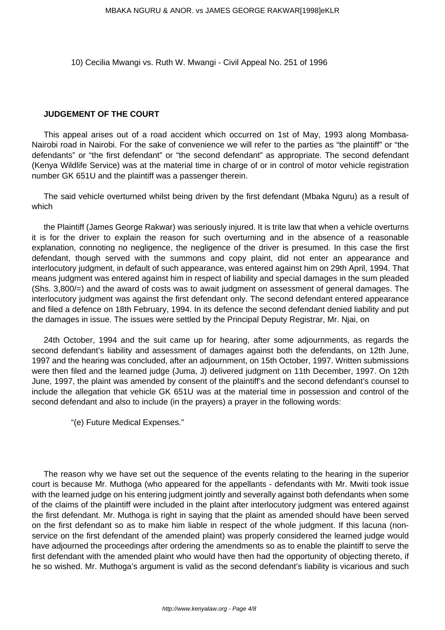10) Cecilia Mwangi vs. Ruth W. Mwangi - Civil Appeal No. 251 of 1996

## **JUDGEMENT OF THE COURT**

This appeal arises out of a road accident which occurred on 1st of May, 1993 along Mombasa-Nairobi road in Nairobi. For the sake of convenience we will refer to the parties as "the plaintiff" or "the defendants" or "the first defendant" or "the second defendant" as appropriate. The second defendant (Kenya Wildlife Service) was at the material time in charge of or in control of motor vehicle registration number GK 651U and the plaintiff was a passenger therein.

The said vehicle overturned whilst being driven by the first defendant (Mbaka Nguru) as a result of which

the Plaintiff (James George Rakwar) was seriously injured. It is trite law that when a vehicle overturns it is for the driver to explain the reason for such overturning and in the absence of a reasonable explanation, connoting no negligence, the negligence of the driver is presumed. In this case the first defendant, though served with the summons and copy plaint, did not enter an appearance and interlocutory judgment, in default of such appearance, was entered against him on 29th April, 1994. That means judgment was entered against him in respect of liability and special damages in the sum pleaded (Shs. 3,800/=) and the award of costs was to await judgment on assessment of general damages. The interlocutory judgment was against the first defendant only. The second defendant entered appearance and filed a defence on 18th February, 1994. In its defence the second defendant denied liability and put the damages in issue. The issues were settled by the Principal Deputy Registrar, Mr. Njai, on

24th October, 1994 and the suit came up for hearing, after some adjournments, as regards the second defendant's liability and assessment of damages against both the defendants, on 12th June, 1997 and the hearing was concluded, after an adjournment, on 15th October, 1997. Written submissions were then filed and the learned judge (Juma, J) delivered judgment on 11th December, 1997. On 12th June, 1997, the plaint was amended by consent of the plaintiff's and the second defendant's counsel to include the allegation that vehicle GK 651U was at the material time in possession and control of the second defendant and also to include (in the prayers) a prayer in the following words:

"(e) Future Medical Expenses."

The reason why we have set out the sequence of the events relating to the hearing in the superior court is because Mr. Muthoga (who appeared for the appellants - defendants with Mr. Mwiti took issue with the learned judge on his entering judgment jointly and severally against both defendants when some of the claims of the plaintiff were included in the plaint after interlocutory judgment was entered against the first defendant. Mr. Muthoga is right in saying that the plaint as amended should have been served on the first defendant so as to make him liable in respect of the whole judgment. If this lacuna (nonservice on the first defendant of the amended plaint) was properly considered the learned judge would have adjourned the proceedings after ordering the amendments so as to enable the plaintiff to serve the first defendant with the amended plaint who would have then had the opportunity of objecting thereto, if he so wished. Mr. Muthoga's argument is valid as the second defendant's liability is vicarious and such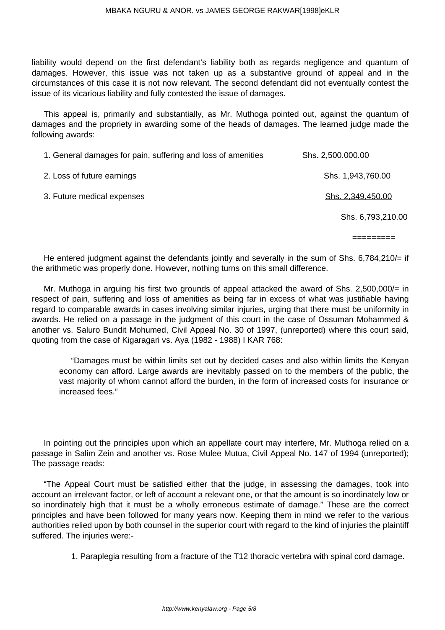liability would depend on the first defendant's liability both as regards negligence and quantum of damages. However, this issue was not taken up as a substantive ground of appeal and in the circumstances of this case it is not now relevant. The second defendant did not eventually contest the issue of its vicarious liability and fully contested the issue of damages.

This appeal is, primarily and substantially, as Mr. Muthoga pointed out, against the quantum of damages and the propriety in awarding some of the heads of damages. The learned judge made the following awards:

| 1. General damages for pain, suffering and loss of amenities | Shs. 2,500.000.00 |
|--------------------------------------------------------------|-------------------|
| 2. Loss of future earnings                                   | Shs. 1,943,760.00 |
| 3. Future medical expenses                                   | Shs. 2,349,450.00 |
|                                                              | Shs. 6,793,210.00 |

=========

He entered judgment against the defendants jointly and severally in the sum of Shs. 6,784,210/= if the arithmetic was properly done. However, nothing turns on this small difference.

Mr. Muthoga in arguing his first two grounds of appeal attacked the award of Shs. 2,500,000/= in respect of pain, suffering and loss of amenities as being far in excess of what was justifiable having regard to comparable awards in cases involving similar injuries, urging that there must be uniformity in awards. He relied on a passage in the judgment of this court in the case of Ossuman Mohammed & another vs. Saluro Bundit Mohumed, Civil Appeal No. 30 of 1997, (unreported) where this court said, quoting from the case of Kigaragari vs. Aya (1982 - 1988) I KAR 768:

"Damages must be within limits set out by decided cases and also within limits the Kenyan economy can afford. Large awards are inevitably passed on to the members of the public, the vast majority of whom cannot afford the burden, in the form of increased costs for insurance or increased fees."

In pointing out the principles upon which an appellate court may interfere, Mr. Muthoga relied on a passage in Salim Zein and another vs. Rose Mulee Mutua, Civil Appeal No. 147 of 1994 (unreported); The passage reads:

"The Appeal Court must be satisfied either that the judge, in assessing the damages, took into account an irrelevant factor, or left of account a relevant one, or that the amount is so inordinately low or so inordinately high that it must be a wholly erroneous estimate of damage." These are the correct principles and have been followed for many years now. Keeping them in mind we refer to the various authorities relied upon by both counsel in the superior court with regard to the kind of injuries the plaintiff suffered. The injuries were:-

1. Paraplegia resulting from a fracture of the T12 thoracic vertebra with spinal cord damage.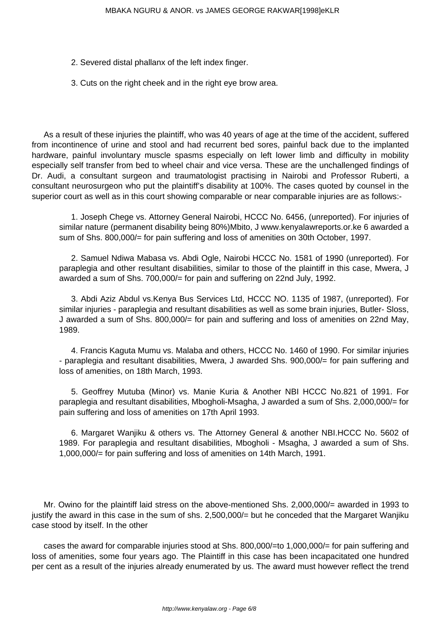- 2. Severed distal phallanx of the left index finger.
- 3. Cuts on the right cheek and in the right eye brow area.

As a result of these injuries the plaintiff, who was 40 years of age at the time of the accident, suffered from incontinence of urine and stool and had recurrent bed sores, painful back due to the implanted hardware, painful involuntary muscle spasms especially on left lower limb and difficulty in mobility especially self transfer from bed to wheel chair and vice versa. These are the unchallenged findings of Dr. Audi, a consultant surgeon and traumatologist practising in Nairobi and Professor Ruberti, a consultant neurosurgeon who put the plaintiff's disability at 100%. The cases quoted by counsel in the superior court as well as in this court showing comparable or near comparable injuries are as follows:-

1. Joseph Chege vs. Attorney General Nairobi, HCCC No. 6456, (unreported). For injuries of similar nature (permanent disability being 80%)Mbito, J www.kenyalawreports.or.ke 6 awarded a sum of Shs. 800,000/= for pain suffering and loss of amenities on 30th October, 1997.

2. Samuel Ndiwa Mabasa vs. Abdi Ogle, Nairobi HCCC No. 1581 of 1990 (unreported). For paraplegia and other resultant disabilities, similar to those of the plaintiff in this case, Mwera, J awarded a sum of Shs. 700,000/= for pain and suffering on 22nd July, 1992.

3. Abdi Aziz Abdul vs.Kenya Bus Services Ltd, HCCC NO. 1135 of 1987, (unreported). For similar injuries - paraplegia and resultant disabilities as well as some brain injuries, Butler- Sloss, J awarded a sum of Shs. 800,000/= for pain and suffering and loss of amenities on 22nd May, 1989.

4. Francis Kaguta Mumu vs. Malaba and others, HCCC No. 1460 of 1990. For similar injuries - paraplegia and resultant disabilities, Mwera, J awarded Shs. 900,000/= for pain suffering and loss of amenities, on 18th March, 1993.

5. Geoffrey Mutuba (Minor) vs. Manie Kuria & Another NBI HCCC No.821 of 1991. For paraplegia and resultant disabilities, Mbogholi-Msagha, J awarded a sum of Shs. 2,000,000/= for pain suffering and loss of amenities on 17th April 1993.

6. Margaret Wanjiku & others vs. The Attorney General & another NBI.HCCC No. 5602 of 1989. For paraplegia and resultant disabilities, Mbogholi - Msagha, J awarded a sum of Shs. 1,000,000/= for pain suffering and loss of amenities on 14th March, 1991.

Mr. Owino for the plaintiff laid stress on the above-mentioned Shs. 2,000,000/= awarded in 1993 to justify the award in this case in the sum of shs. 2,500,000/= but he conceded that the Margaret Wanjiku case stood by itself. In the other

cases the award for comparable injuries stood at Shs. 800,000/=to 1,000,000/= for pain suffering and loss of amenities, some four years ago. The Plaintiff in this case has been incapacitated one hundred per cent as a result of the injuries already enumerated by us. The award must however reflect the trend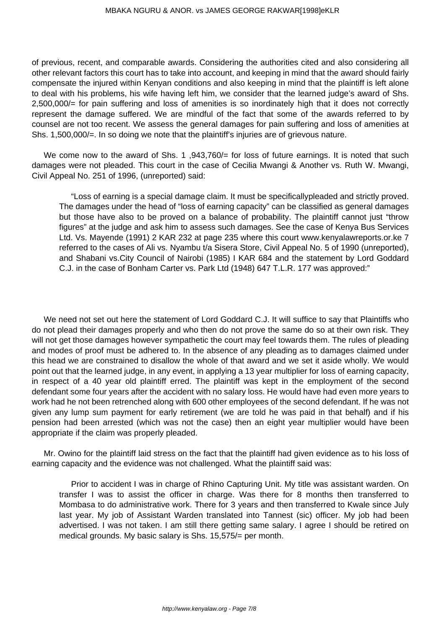of previous, recent, and comparable awards. Considering the authorities cited and also considering all other relevant factors this court has to take into account, and keeping in mind that the award should fairly compensate the injured within Kenyan conditions and also keeping in mind that the plaintiff is left alone to deal with his problems, his wife having left him, we consider that the learned judge's award of Shs. 2,500,000/= for pain suffering and loss of amenities is so inordinately high that it does not correctly represent the damage suffered. We are mindful of the fact that some of the awards referred to by counsel are not too recent. We assess the general damages for pain suffering and loss of amenities at Shs. 1,500,000/=. In so doing we note that the plaintiff's injuries are of grievous nature.

We come now to the award of Shs. 1,943,760/= for loss of future earnings. It is noted that such damages were not pleaded. This court in the case of Cecilia Mwangi & Another vs. Ruth W. Mwangi, Civil Appeal No. 251 of 1996, (unreported) said:

"Loss of earning is a special damage claim. It must be specificallypleaded and strictly proved. The damages under the head of "loss of earning capacity" can be classified as general damages but those have also to be proved on a balance of probability. The plaintiff cannot just "throw figures" at the judge and ask him to assess such damages. See the case of Kenya Bus Services Ltd. Vs. Mayende (1991) 2 KAR 232 at page 235 where this court www.kenyalawreports.or.ke 7 referred to the cases of Ali vs. Nyambu t/a Sisera Store, Civil Appeal No. 5 of 1990 (unreported), and Shabani vs.City Council of Nairobi (1985) I KAR 684 and the statement by Lord Goddard C.J. in the case of Bonham Carter vs. Park Ltd (1948) 647 T.L.R. 177 was approved:"

We need not set out here the statement of Lord Goddard C.J. It will suffice to say that Plaintiffs who do not plead their damages properly and who then do not prove the same do so at their own risk. They will not get those damages however sympathetic the court may feel towards them. The rules of pleading and modes of proof must be adhered to. In the absence of any pleading as to damages claimed under this head we are constrained to disallow the whole of that award and we set it aside wholly. We would point out that the learned judge, in any event, in applying a 13 year multiplier for loss of earning capacity, in respect of a 40 year old plaintiff erred. The plaintiff was kept in the employment of the second defendant some four years after the accident with no salary loss. He would have had even more years to work had he not been retrenched along with 600 other employees of the second defendant. If he was not given any lump sum payment for early retirement (we are told he was paid in that behalf) and if his pension had been arrested (which was not the case) then an eight year multiplier would have been appropriate if the claim was properly pleaded.

Mr. Owino for the plaintiff laid stress on the fact that the plaintiff had given evidence as to his loss of earning capacity and the evidence was not challenged. What the plaintiff said was:

Prior to accident I was in charge of Rhino Capturing Unit. My title was assistant warden. On transfer I was to assist the officer in charge. Was there for 8 months then transferred to Mombasa to do administrative work. There for 3 years and then transferred to Kwale since July last year. My job of Assistant Warden translated into Tannest (sic) officer. My job had been advertised. I was not taken. I am still there getting same salary. I agree I should be retired on medical grounds. My basic salary is Shs. 15,575/= per month.